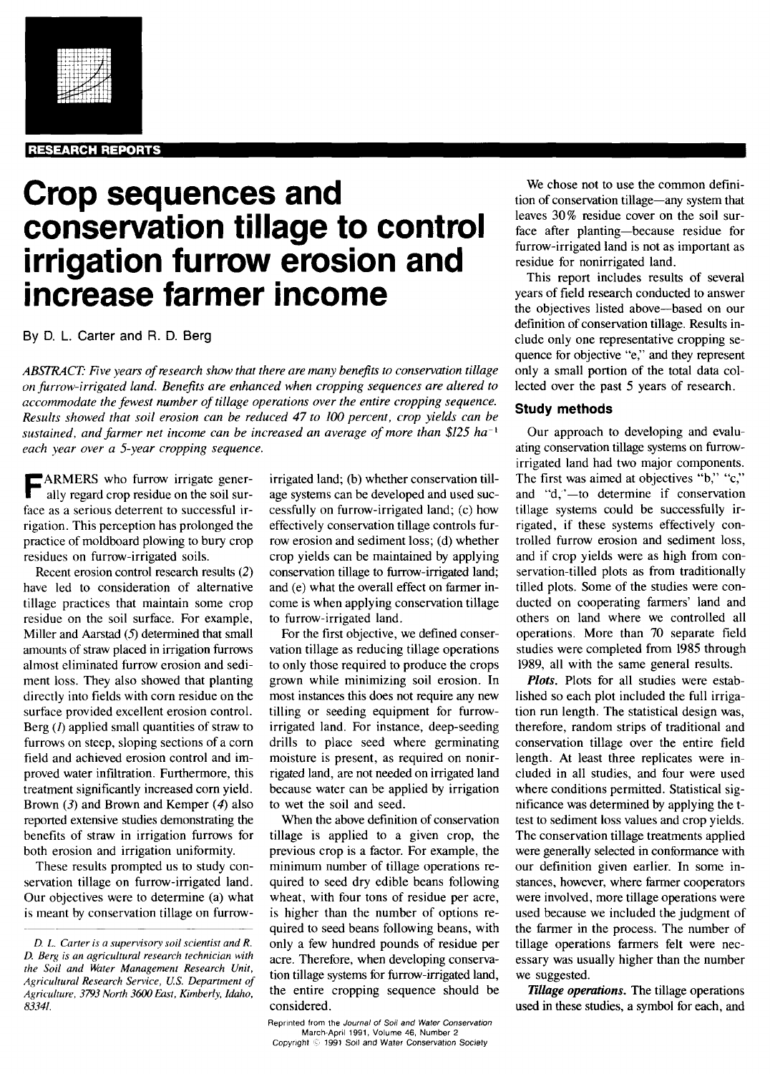#### **RESEARCH REPORTS**

# **Crop sequences and conservation tillage to control irrigation furrow erosion and increase farmer income**

By D. L. Carter and R. **D. Berg**

ABSTRACT: Five years of research show that there are many benefits to conservation tillage *on furrow-irrigated land. Benefits are enhanced when cropping sequences are altered to accommodate the fewest number of tillage operations over the entire cropping sequence. Results showed that soil erosion can be reduced 47 to 100 percent, crop yields can be sustained, and farmer net income can be increased an average of more than \$125 ha-' each year over a 5-year cropping sequence.*

F ARMERS who furrow irrigate generally regard crop residue on the soil surface as a serious deterrent to successful irrigation. This perception has prolonged the practice of moldboard plowing to bury crop residues on furrow-irrigated soils.

Recent erosion control research results (2) have led to consideration of alternative tillage practices that maintain some crop residue on the soil surface. For example, Miller and Aarstad *(5)* determined that small amounts of straw placed in irrigation furrows almost eliminated furrow erosion and sediment loss. They also showed that planting directly into fields with corn residue on the surface provided excellent erosion control. Berg *(1)* applied small quantities of straw to furrows on steep, sloping sections of a corn field and achieved erosion control and improved water infiltration. Furthermore, this treatment significantly increased corn yield. Brown *(3)* and Brown and Kemper *(4)* also reported extensive studies demonstrating the benefits of straw in irrigation furrows for both erosion and irrigation uniformity.

These results prompted us to study conservation tillage on furrow-irrigated land. Our objectives were to determine (a) what is meant by conservation tillage on furrow-

irrigated land; (b) whether conservation tillage systems can be developed and used successfully on furrow-irrigated land; (c) how effectively conservation tillage controls furrow erosion and sediment loss; (d) whether crop yields can be maintained by applying conservation tillage to furrow-irrigated land; and (e) what the overall effect on farmer income is when applying conservation tillage to furrow-irrigated land.

For the first objective, we defined conservation tillage as reducing tillage operations to only those required to produce the crops grown while minimizing soil erosion. In most instances this does not require any new tilling or seeding equipment for furrowirrigated land. For instance, deep-seeding drills to place seed where germinating moisture is present, as required on nonirrigated land, are not needed on irrigated land because water can be applied by irrigation to wet the soil and seed.

When the above definition of conservation tillage is applied to a given crop, the previous crop is a factor. For example, the minimum number of tillage operations required to seed dry edible beans following wheat, with four tons of residue per acre, is higher than the number of options required to seed beans following beans, with only a few hundred pounds of residue per acre. Therefore, when developing conservation tillage systems for furrow-irrigated land, the entire cropping sequence should be considered.

We chose not to use the common definition of conservation tillage—any system that leaves 30% residue cover on the soil surface after planting—because residue for furrow-irrigated land is not as important as residue for nonirrigated land.

This report includes results of several years of field research conducted to answer the objectives listed above—based on our definition of conservation tillage. Results include only one representative cropping sequence for objective "e," and they represent only a small portion of the total data collected over the past 5 years of research.

## **Study methods**

Our approach to developing and evaluating conservation tillage systems on furrowirrigated land had two major components. The first was aimed at objectives "b," "c," and "d,"-to determine if conservation tillage systems could be successfully irrigated, if these systems effectively controlled furrow erosion and sediment loss, and if crop yields were as high from conservation-tilled plots as from traditionally tilled plots. Some of the studies were conducted on cooperating farmers' land and others on land where we controlled all operations. More than 70 separate field studies were completed from 1985 through 1989, all with the same general results.

*Plots.* Plots for all studies were established so each plot included the full irrigation run length. The statistical design was, therefore, random strips of traditional and conservation tillage over the entire field length. At least three replicates were included in all studies, and four were used where conditions permitted. Statistical significance was determined by applying the ttest to sediment loss values and crop yields. The conservation tillage treatments applied were generally selected in conformance with our definition given earlier. In some instances, however, where farmer cooperators were involved, more tillage operations were used because we included the judgment of the farmer in the process. The number of tillage operations farmers felt were necessary was usually higher than the number we suggested.

*Tillage operations.* The tillage operations used in these studies, a symbol for each, and

*D. L. Carter is a supervisory soil scientist and R. D. Berg is an agricultural research technician with the Soil and Water Management Research Unit, Agricultural Research Service, U.S. Department of Agriculture, 3793 North 3600 East, Kimberly, Idaho, 83341.*

Reprinted from the *Journal* of Soil *and Water* Conservation March-April 1991, Volume 46, Number 2 Copyright C 1991 Soil and Water Conservation Society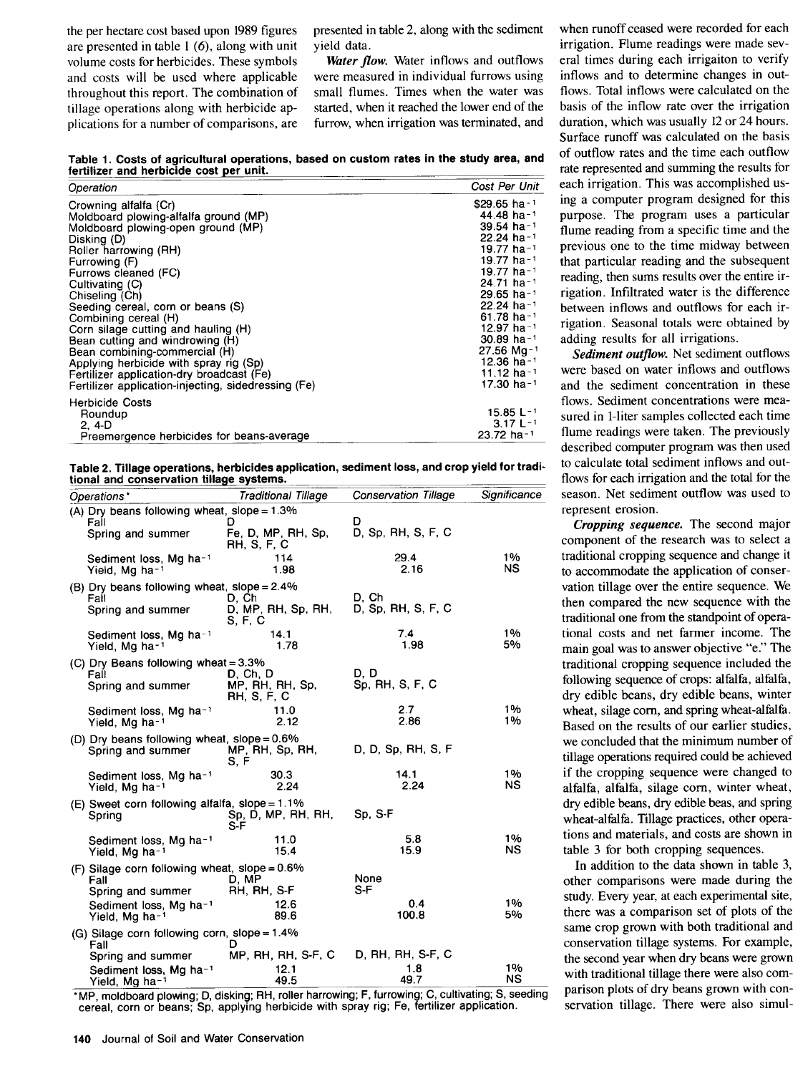the per hectare cost based upon 1989 figures are presented in table  $1(6)$ , along with unit volume costs for herbicides. These symbols and costs will be used where applicable throughout this report. The combination of tillage operations along with herbicide applications for a number of comparisons, are presented in table 2, along with the sediment yield data.

Water flow. Water inflows and outflows were measured in individual furrows using small flumes. Times when the water was started, when it reached the lower end of the furrow, when irrigation was terminated, and

**Table 1. Costs of agricultural operations, based on custom rates in the study area, and** fertilizer and herbicide cost per unit.

| Operation                                           | Cost Per Unit            |
|-----------------------------------------------------|--------------------------|
| Crowning alfalfa (Cr)                               | $$29.65$ ha-1            |
| Moldboard plowing-alfalfa ground (MP)               | 44.48 ha <sup>-1</sup>   |
| Moldboard plowing-open ground (MP)                  | $39.54$ ha-1             |
| Disking (D)                                         | $22.24$ ha-1             |
| Roller harrowing (RH)                               | 19.77 ha-1               |
| Furrowing (F)                                       | 19.77 ha-1               |
| Furrows cleaned (FC)                                | 19.77 ha-1               |
| Cultivating (C)                                     | $24.71$ ha-1             |
| Chiseling (Ch)                                      | $29.65$ ha <sup>-1</sup> |
| Seeding cereal, corn or beans (S)                   | $22.24$ ha <sup>-1</sup> |
| Combining cereal (H)                                | $61.78$ ha <sup>-1</sup> |
| Corn silage cutting and hauling (H)                 | 12.97 ha-1               |
| Bean cutting and windrowing (H)                     | $30.89$ ha-1             |
| Bean combining-commercial (H)                       | $27.56$ Ma-1             |
| Applying herbicide with spray rig (Sp)              | 12.36 ha <sup>-1</sup>   |
| Fertilizer application-dry broadcast (Fe)           | 11.12 ha-1               |
| Fertilizer application-injecting, sidedressing (Fe) | 17.30 ha $-1$            |
| <b>Herbicide Costs</b>                              |                          |
| Roundup                                             | $15.85 L-1$              |
| 2.4-D                                               | $3.17 L^{-1}$            |
| Preemergence herbicides for beans-average           | 23.72 ha-1               |

**Table 2. Tillage operations, herbicides application, sediment loss, and crop yield for tradi-**Table 2. Tillage operations, herbicides application, sediment loss, and crop yield for traditional and conservation tillage systems.<br>**A conservation tillage systems.**<br>A conservation of the conservation of the conservation

| Operations*                                                                                                                                    | <b>Traditional Tillage</b>                 | <b>Conservation Tillage</b> | Significance    |
|------------------------------------------------------------------------------------------------------------------------------------------------|--------------------------------------------|-----------------------------|-----------------|
| (A) Dry beans following wheat, slope = $1.3\%$                                                                                                 | D                                          | D                           |                 |
| Fall<br>Spring and summer                                                                                                                      | Fe, D, MP, RH, Sp,<br>RH, S, F, C          | D, Sp, RH, S, F, C          |                 |
| Sediment loss, Mg ha-1<br>Yield, Mg ha-1                                                                                                       | 114<br>1.98                                | 29.4<br>2.16                | 1%<br><b>NS</b> |
| (B) Dry beans following wheat, slope = 2.4%                                                                                                    |                                            | D. Ch                       |                 |
| Fall<br>Spring and summer                                                                                                                      | D, Ch<br>D, MP, RH, Sp, RH,<br>S, F, C     | D. Sp. RH, S, F, C          |                 |
| Sediment loss, Mg ha-1<br>Yield, Mg ha-1                                                                                                       | 14.1<br>1.78                               | 7.4<br>1.98                 | 1%<br>5%        |
| (C) Dry Beans following wheat = 3.3%                                                                                                           |                                            |                             |                 |
| Fall<br>Spring and summer                                                                                                                      | D, Ch, D<br>MP, RH, RH, Sp,<br>RH, S, F, C | D. D<br>Sp, RH, S, F, C     |                 |
| Sediment loss, Mg ha <sup>-1</sup><br>Yield, Mg ha-1                                                                                           | 11.0<br>2.12                               | 27<br>2.86                  | 1%<br>1%        |
| (D) Dry beans following wheat, slope = $0.6\%$<br>Spring and summer                                                                            | MP, RH, Sp, RH,<br>S. F                    | D, D, Sp, RH, S, F          |                 |
| Sediment loss, Mg ha <sup>-1</sup><br>Yield, Mg ha <sup>-1</sup>                                                                               | 30.3<br>2.24                               | 14.1<br>2.24                | 1%<br><b>NS</b> |
| (E) Sweet corn following alfalfa, slope = $1.1\%$<br>Spring                                                                                    | Sp, D, MP, RH, RH,<br>S-F                  | Sp. S-F                     |                 |
| Sediment loss, Mg ha-1<br>Yield, Mg ha-1                                                                                                       | 11.0<br>15.4                               | 5.8<br>15.9                 | 1%<br>NS        |
| (F) Silage corn following wheat, slope = 0.6%                                                                                                  |                                            |                             |                 |
| Fall<br>Spring and summer                                                                                                                      | D. MP<br>RH, RH, S-F                       | None<br>S-F                 |                 |
| Sediment loss, Mg ha-1<br>Yield, Mg ha-1                                                                                                       | 12.6<br>89.6                               | 0.4<br>100.8                | 1%<br>5%        |
| (G) Silage corn following corn, slope = 1.4%<br>Fall                                                                                           | D                                          |                             |                 |
| Spring and summer                                                                                                                              | MP, RH, RH, S-F, C                         | D. RH, RH, S-F, C           |                 |
| Sediment loss, Mg ha-1<br>Yield, Mg ha-1<br>*MP, moldboard plowing; D, disking; RH, roller harrowing; F, furrowing; C, cultivating; S, seeding | 12.1<br>49.5                               | 1.8<br>49.7                 | 1%<br>NS        |

cereal, corn or beans; Sp, applying herbicide with spray rig; Fe, fertilizer application.

eral times during each irrigaiton to verify inflows and to determine changes in outflows. Total inflows were calculated on the basis of the inflow rate over the irrigation duration, which was usually 12 or 24 hours. Surface runoff was calculated on the basis of outflow rates and the time each outflow rate represented and summing the results for each irrigation. This was accomplished using a computer program designed for this purpose. The program uses a particular flume reading from a specific time and the previous one to the time midway between that particular reading and the subsequent reading, then sums results over the entire irrigation. Infiltrated water is the difference between inflows and outflows for each irrigation. Seasonal totals were obtained by adding results for all irrigations.

when runoff ceased were recorded for each irrigation. Flume readings were made sev-

Sediment outflow. Net sediment outflows were based on water inflows and outflows and the sediment concentration in these flows. Sediment concentrations were measured in 1-liter samples collected each time flume readings were taken. The previously described computer program was then used to calculate total sediment inflows and outflows for each irrigation and the total for the season. Net sediment outflow was used to represent erosion.

Cropping sequence. The second major component of the research was to select a traditional cropping sequence and change it to accommodate the application of conservation tillage over the entire sequence. We then compared the new sequence with the traditional one from the standpoint of operational costs and net farmer income. The main goal was to answer objective "e." The traditional cropping sequence included the following sequence of crops: alfalfa, alfalfa, dry edible beans, dry edible beans, winter wheat, silage corn, and spring wheat-alfalfa. Based on the results of our earlier studies, we concluded that the minimum number of tillage operations required could be achieved if the cropping sequence were changed to alfalfa, alfalfa, silage corn, winter wheat, dry edible beans, dry edible beas, and spring wheat-alfalfa. Tillage practices, other operations and materials, and costs are shown in table 3 for both cropping sequences.

In addition to the data shown in table 3, other comparisons were made during the study. Every year, at each experimental site, there was a comparison set of plots of the same crop grown with both traditional and conservation tillage systems. For example, the second year when dry beans were grown with traditional tillage there were also comparison plots of dry beans grown with conservation tillage. There were also simul-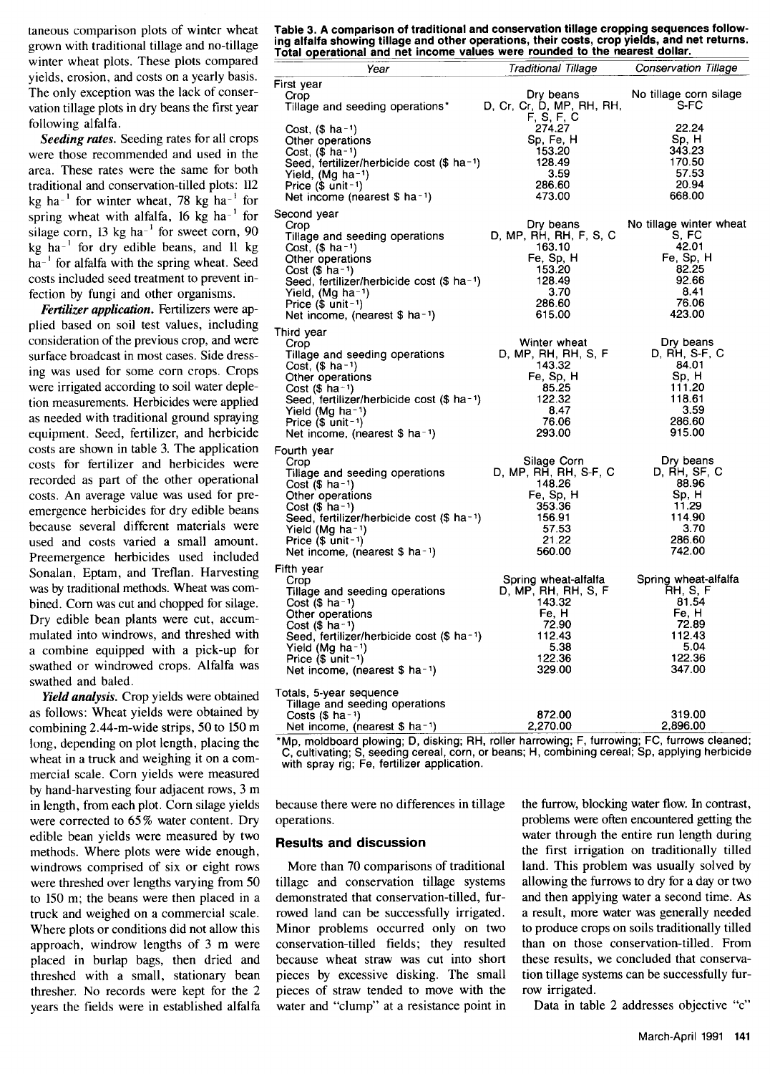taneous comparison plots of winter wheat grown with traditional tillage and no-tillage winter wheat plots. These plots compared yields, erosion, and costs on a yearly basis. The only exception was the lack of conservation tillage plots in dry beans the first year following alfalfa.

*Seeding rates.* Seeding rates for all crops were those recommended and used in the area. These rates were the same for both traditional and conservation-tilled plots: 112 kg ha<sup>-1</sup> for winter wheat, 78 kg ha<sup>-1</sup> for spring wheat with alfalfa, 16  $kg$  ha<sup>-1</sup> for silage corn,  $13 \text{ kg}$  ha<sup>-1</sup> for sweet corn,  $90$  $kg$  ha<sup>-1</sup> for dry edible beans, and 11 kg  $ha^{-1}$  for alfalfa with the spring wheat. Seed costs included seed treatment to prevent infection by fungi and other organisms.

*Fertilizer application.* Fertilizers were applied based on soil test values, including consideration of the previous crop, and were surface broadcast in most cases. Side dressing was used for some corn crops. Crops were irrigated according to soil water depletion measurements. Herbicides were applied as needed with traditional ground spraying equipment. Seed, fertilizer, and herbicide costs are shown in table 3. The application costs for fertilizer and herbicides were recorded as part of the other operational costs. An average value was used for preemergence herbicides for dry edible beans because several different materials were used and costs varied a small amount. Preemergence herbicides used included Sonalan, Eptam, and Treflan. Harvesting was by traditional methods. Wheat was combined. Corn was cut and chopped for silage. Dry edible bean plants were cut, accummulated into windrows, and threshed with a combine equipped with a pick-up for swathed or windrowed crops. Alfalfa was swathed and baled.

*Yield analysis.* Crop yields were obtained as follows: Wheat yields were obtained by combining 2.44-m-wide strips, 50 to 150 m long, depending on plot length, placing the wheat in a truck and weighing it on a commercial scale. Corn yields were measured by hand-harvesting four adjacent rows, 3 m in length, from each plot. Corn silage yields were corrected to 65% water content. Dry edible bean yields were measured by two methods. Where plots were wide enough, windrows comprised of six or eight rows were threshed over lengths varying from 50 to 150 m; the beans were then placed in a truck and weighed on a commercial scale. Where plots or conditions did not allow this approach, windrow lengths of 3 m were placed in burlap bags, then dried and threshed with a small, stationary bean thresher. No records were kept for the 2 years the fields were in established alfalfa

**Table 3. A comparison of traditional and conservation tillage cropping sequences following alfalfa showing tillage and other operations, their costs, crop yields, and net returns. Total operational and net income values were rounded to the nearest dollar.** 

| Year                                                                                                                                                                                                                                                                                                                                                                                                                                                             | Traditional Tillage Conservation Tillage                                                                                       |                                                                            |
|------------------------------------------------------------------------------------------------------------------------------------------------------------------------------------------------------------------------------------------------------------------------------------------------------------------------------------------------------------------------------------------------------------------------------------------------------------------|--------------------------------------------------------------------------------------------------------------------------------|----------------------------------------------------------------------------|
| First year<br>Crop<br>Tillage and seeding operations* D, Cr, Cr, D, MP, RH, RH,                                                                                                                                                                                                                                                                                                                                                                                  | Dry beans<br>F, S, F, C                                                                                                        | No tillage corn silage<br>S-FC                                             |
| Cost, $($ ha^{-1}$)$<br>Other operations<br>Cost, $($$ ha-1)<br>Seed, fertilizer/herbicide cost $(\$$ ha <sup>-1</sup> )<br>Yield, (Mg ha-1)<br>Price $($$ unit-1)<br>Net income (nearest $$$ ha <sup>-1</sup> )                                                                                                                                                                                                                                                 | $\begin{array}{c} 14.27 \\ \text{Sp}, \text{Fe}, \text{H} \\ 153.20 \\ 128.49 \\ 3.52 \end{array}$<br>3.59<br>286.60<br>473.00 | 22.24<br>Sp, H<br>343.23<br>170.50<br>57.53<br>20.94<br>668.00             |
| Second year                                                                                                                                                                                                                                                                                                                                                                                                                                                      |                                                                                                                                |                                                                            |
| econd year<br>Crop<br>Cillage and seeding operations<br>Cost, (\$ ha-1)<br>Other operations<br>Cost, (\$ ha-1)<br>Other operations<br>Cost (\$ ha-1)<br>Cost (\$ ha-1)<br>Cost (\$ ha-1)<br>Cost (\$ ha-1)<br>Cost (\$ ha-1)<br>Cost (\$ ha-1)<br>Cost (\$ ha-1)<br>Net income, (nearest \$ ha-1)                                                                                                                                                                | 615.00                                                                                                                         | 423.00                                                                     |
| Third year                                                                                                                                                                                                                                                                                                                                                                                                                                                       |                                                                                                                                |                                                                            |
| Crop<br>Crop<br>Tillage and seeding operations<br>Crop<br>Crop<br>Crop<br>Crop<br>Crop<br>Crop<br>Crop<br>Crop<br>Crop<br>Crop<br>Crop<br>Crop<br>Crop<br>Crop<br>Crop<br>Crop<br>Crop<br>Crop<br>Crop<br>Crop<br>Crop<br>Crop<br>Crop<br>Crop<br>Crop<br>Crop<br>Crop<br>Crop<br>Crop<br>Cro<br>Net income, (nearest \$ ha-1)                                                                                                                                   | Winter wheat<br>293.00                                                                                                         | Dry beans<br>915.00                                                        |
| Fourth year                                                                                                                                                                                                                                                                                                                                                                                                                                                      |                                                                                                                                |                                                                            |
| Crop<br>Crop Silage Corn Dry beans<br>Tillage and seeding operations D, MP, RH, RH, S-F, C D, RH, SF, C<br>Cost $(§$ ha-1)<br>Other operations<br>Cost $($$ ha-1)<br>Seed, fertilizer/herbicide cost (\$ ha-1)<br>Yield (Mg $ha-1$ )<br>Price $($$ unit-1)<br>Net income, (nearest \$ ha-1)                                                                                                                                                                      | Silage Corn<br>$146.26$<br>Fe, Sp, H<br>353.36<br>156.91<br>57.53<br>21.22<br>20.00                                            | Dry beans<br>88.96<br>Sp, H<br>11.29<br>114.90<br>3.70<br>286.60<br>742.00 |
| Fifth year                                                                                                                                                                                                                                                                                                                                                                                                                                                       |                                                                                                                                |                                                                            |
| The year<br>Crop<br>Crop<br>Tillage and seeding operations<br>Tillage and seeding operations<br>Cost (\$ ha-1)<br>Cher operations<br>Cost (\$ ha-1)<br>Cher operations<br>Cher operations<br>Cost (\$ ha-1)<br>Cher operations<br>Ce <sub>r</sub> H <sub>er</sub> H <sub>er</sub> H <sub>er</sub><br>Cost $($$ ha-1)<br>Seed, fertilizer/herbicide cost (\$ ha <sup>-1</sup> ) 112.43<br>Yield (Mg ha-1)<br>Price $(\$$ unit-1)<br>Net income, (nearest \$ ha-1) | 72.90<br>5.38<br>122.36<br>329.00                                                                                              | 72.89<br>112.43<br>5.04<br>122.36<br>347.00                                |
| Totals, 5-year sequence                                                                                                                                                                                                                                                                                                                                                                                                                                          |                                                                                                                                |                                                                            |
| Tillage and seeding operations<br>Costs (\$ ha-1)<br>Net income, (nearest \$ ha-1)<br>2,270.00                                                                                                                                                                                                                                                                                                                                                                   |                                                                                                                                | 319.00<br>2,896.00                                                         |
| *Mn_moldboard_plowing: D_disking: RH_roller harrowing: E_furrowing: EC_furrows_cleaned:                                                                                                                                                                                                                                                                                                                                                                          |                                                                                                                                |                                                                            |

\*Mp, moldboard plowing; D, disking; RH, roller harrowing; F, furrowing; FC, furrows cleaned; C, cultivating; S, seeding cereal, corn, or beans; H, combining cereal; Sp, applying herbicide with spray rig; Fe, fertilizer application.

because there were no differences in tillage operations.

## **Results and discussion**

More than 70 comparisons of traditional tillage and conservation tillage systems demonstrated that conservation-tilled, furrowed land can be successfully irrigated. Minor problems occurred only on two conservation-tilled fields; they resulted because wheat straw was cut into short pieces by excessive disking. The small pieces of straw tended to move with the water and "clump" at a resistance point in

the furrow, blocking water flow. In contrast, problems were often encountered getting the water through the entire run length during the first irrigation on traditionally tilled land. This problem was usually solved by allowing the furrows to dry for a day or two and then applying water a second time. As a result, more water was generally needed to produce crops on soils traditionally tilled than on those conservation-tilled. From these results, we concluded that conservation tillage systems can be successfully furrow irrigated.

Data in table 2 addresses objective "c"